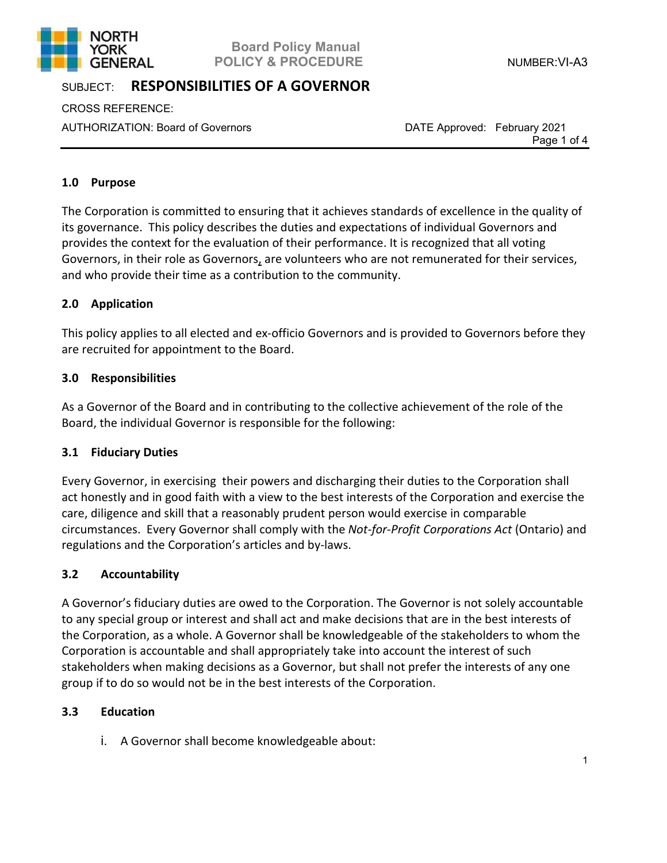

# **Board Policy Manual POLICY & PROCEDURE** NUMBER: VI-A3

# SUBJECT: **RESPONSIBILITIES OF A GOVERNOR**

CROSS REFERENCE:

AUTHORIZATION: Board of Governors DATE Approved: February 2021

Page 1 of 4

# **1.0 Purpose**

The Corporation is committed to ensuring that it achieves standards of excellence in the quality of its governance. This policy describes the duties and expectations of individual Governors and provides the context for the evaluation of their performance. It is recognized that all voting Governors, in their role as Governors, are volunteers who are not remunerated for their services, and who provide their time as a contribution to the community.

# **2.0 Application**

This policy applies to all elected and ex-officio Governors and is provided to Governors before they are recruited for appointment to the Board.

# **3.0 Responsibilities**

As a Governor of the Board and in contributing to the collective achievement of the role of the Board, the individual Governor is responsible for the following:

### **3.1 Fiduciary Duties**

Every Governor, in exercising their powers and discharging their duties to the Corporation shall act honestly and in good faith with a view to the best interests of the Corporation and exercise the care, diligence and skill that a reasonably prudent person would exercise in comparable circumstances. Every Governor shall comply with the *Not-for-Profit Corporations Act* (Ontario) and regulations and the Corporation's articles and by-laws.

### **3.2 Accountability**

A Governor's fiduciary duties are owed to the Corporation. The Governor is not solely accountable to any special group or interest and shall act and make decisions that are in the best interests of the Corporation, as a whole. A Governor shall be knowledgeable of the stakeholders to whom the Corporation is accountable and shall appropriately take into account the interest of such stakeholders when making decisions as a Governor, but shall not prefer the interests of any one group if to do so would not be in the best interests of the Corporation.

### **3.3 Education**

i. A Governor shall become knowledgeable about: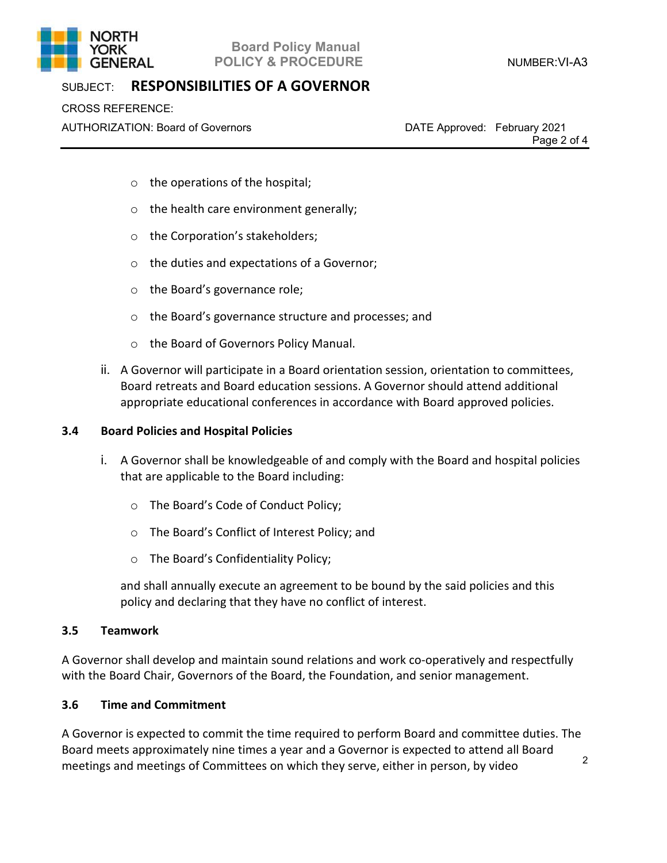

# **Board Policy Manual POLICY & PROCEDURE** NUMBER: VI-A3

# SUBJECT: **RESPONSIBILITIES OF A GOVERNOR**

CROSS REFERENCE:

AUTHORIZATION: Board of Governors DATE Approved: February 2021

Page 2 of 4

- o the operations of the hospital;
- o the health care environment generally;
- o the Corporation's stakeholders;
- o the duties and expectations of a Governor;
- o the Board's governance role;
- o the Board's governance structure and processes; and
- o the Board of Governors Policy Manual.
- ii. A Governor will participate in a Board orientation session, orientation to committees, Board retreats and Board education sessions. A Governor should attend additional appropriate educational conferences in accordance with Board approved policies.

#### **3.4 Board Policies and Hospital Policies**

- i. A Governor shall be knowledgeable of and comply with the Board and hospital policies that are applicable to the Board including:
	- o The Board's Code of Conduct Policy;
	- o The Board's Conflict of Interest Policy; and
	- o The Board's Confidentiality Policy;

and shall annually execute an agreement to be bound by the said policies and this policy and declaring that they have no conflict of interest.

#### **3.5 Teamwork**

A Governor shall develop and maintain sound relations and work co-operatively and respectfully with the Board Chair, Governors of the Board, the Foundation, and senior management.

#### **3.6 Time and Commitment**

A Governor is expected to commit the time required to perform Board and committee duties. The Board meets approximately nine times a year and a Governor is expected to attend all Board meetings and meetings of Committees on which they serve, either in person, by video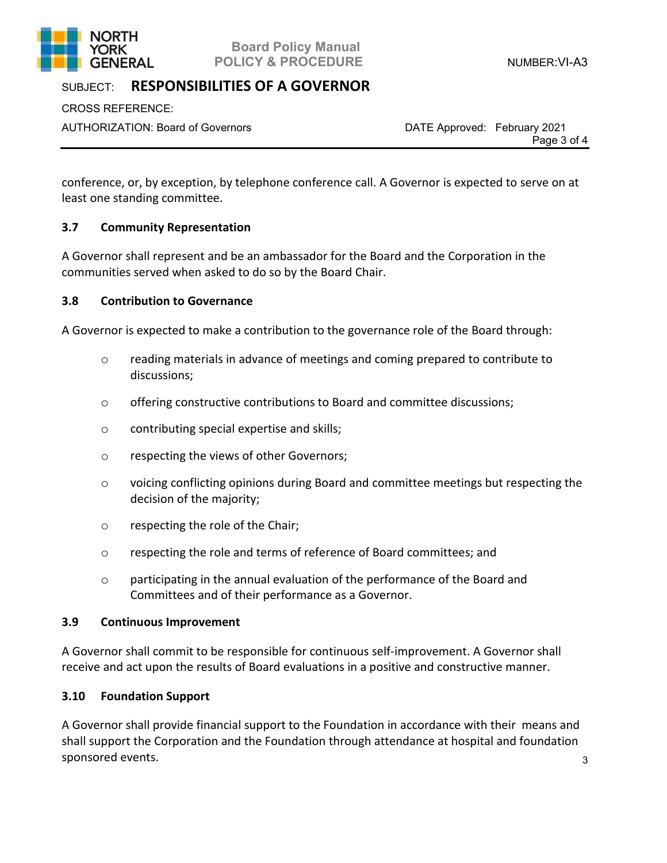

## **Board Policy Manual GENERAL POLICY & PROCEDURE CONTRACT ACCORDING POLICY & PROCEDURE**

# SUBJECT: **RESPONSIBILITIES OF A GOVERNOR**

CROSS REFERENCE:

AUTHORIZATION: Board of Governors DATE Approved: February 2021

Page 3 of 4

conference, or, by exception, by telephone conference call. A Governor is expected to serve on at least one standing committee.

# **3.7 Community Representation**

A Governor shall represent and be an ambassador for the Board and the Corporation in the communities served when asked to do so by the Board Chair.

### **3.8 Contribution to Governance**

A Governor is expected to make a contribution to the governance role of the Board through:

- o reading materials in advance of meetings and coming prepared to contribute to discussions;
- $\circ$  offering constructive contributions to Board and committee discussions;
- o contributing special expertise and skills;
- o respecting the views of other Governors;
- o voicing conflicting opinions during Board and committee meetings but respecting the decision of the majority;
- o respecting the role of the Chair;
- o respecting the role and terms of reference of Board committees; and
- o participating in the annual evaluation of the performance of the Board and Committees and of their performance as a Governor.

#### **3.9 Continuous Improvement**

A Governor shall commit to be responsible for continuous self-improvement. A Governor shall receive and act upon the results of Board evaluations in a positive and constructive manner.

### **3.10 Foundation Support**

A Governor shall provide financial support to the Foundation in accordance with their means and shall support the Corporation and the Foundation through attendance at hospital and foundation sponsored events.